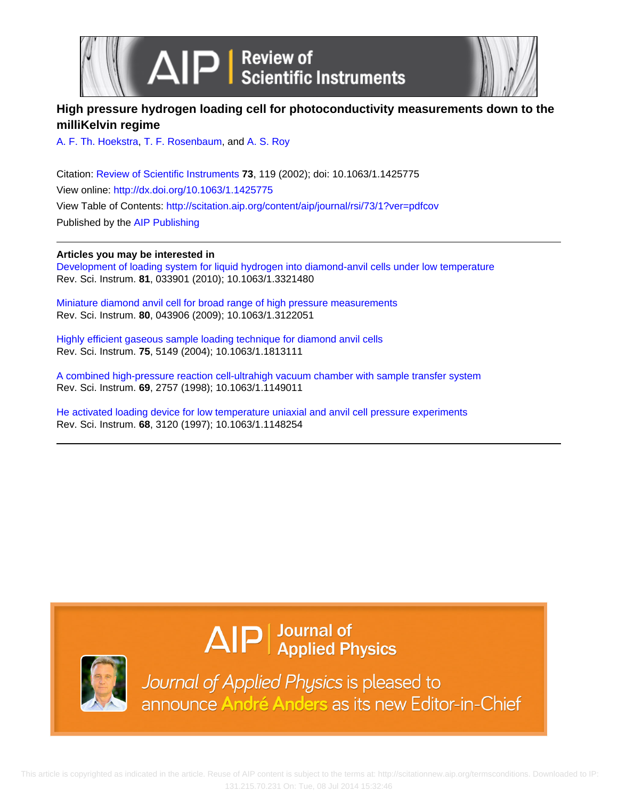



## **High pressure hydrogen loading cell for photoconductivity measurements down to the milliKelvin regime**

[A. F. Th. Hoekstra](http://scitation.aip.org/search?value1=A.+F.+Th.+Hoekstra&option1=author), [T. F. Rosenbaum,](http://scitation.aip.org/search?value1=T.+F.+Rosenbaum&option1=author) and [A. S. Roy](http://scitation.aip.org/search?value1=A.+S.+Roy&option1=author)

Citation: [Review of Scientific Instruments](http://scitation.aip.org/content/aip/journal/rsi?ver=pdfcov) **73**, 119 (2002); doi: 10.1063/1.1425775 View online: <http://dx.doi.org/10.1063/1.1425775> View Table of Contents: <http://scitation.aip.org/content/aip/journal/rsi/73/1?ver=pdfcov> Published by the [AIP Publishing](http://scitation.aip.org/content/aip?ver=pdfcov)

### **Articles you may be interested in**

[Development of loading system for liquid hydrogen into diamond-anvil cells under low temperature](http://scitation.aip.org/content/aip/journal/rsi/81/3/10.1063/1.3321480?ver=pdfcov) Rev. Sci. Instrum. **81**, 033901 (2010); 10.1063/1.3321480

[Miniature diamond anvil cell for broad range of high pressure measurements](http://scitation.aip.org/content/aip/journal/rsi/80/4/10.1063/1.3122051?ver=pdfcov) Rev. Sci. Instrum. **80**, 043906 (2009); 10.1063/1.3122051

[Highly efficient gaseous sample loading technique for diamond anvil cells](http://scitation.aip.org/content/aip/journal/rsi/75/12/10.1063/1.1813111?ver=pdfcov) Rev. Sci. Instrum. **75**, 5149 (2004); 10.1063/1.1813111

[A combined high-pressure reaction cell-ultrahigh vacuum chamber with sample transfer system](http://scitation.aip.org/content/aip/journal/rsi/69/7/10.1063/1.1149011?ver=pdfcov) Rev. Sci. Instrum. **69**, 2757 (1998); 10.1063/1.1149011

[He activated loading device for low temperature uniaxial and anvil cell pressure experiments](http://scitation.aip.org/content/aip/journal/rsi/68/8/10.1063/1.1148254?ver=pdfcov) Rev. Sci. Instrum. **68**, 3120 (1997); 10.1063/1.1148254

# $\Delta$ IP  $\vert$  Journal of Applied Physics



Journal of Applied Physics is pleased to announce André Anders as its new Editor-in-Chief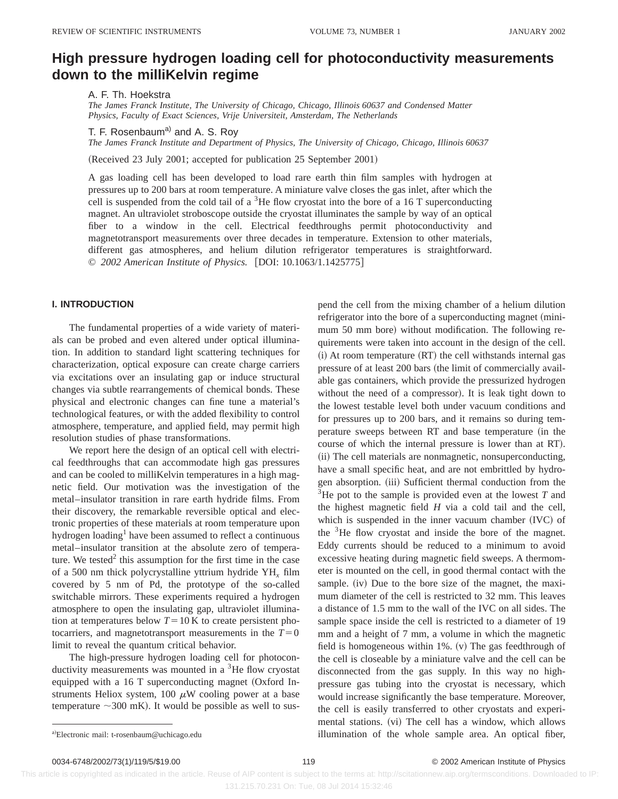## **High pressure hydrogen loading cell for photoconductivity measurements down to the milliKelvin regime**

A. F. Th. Hoekstra

*The James Franck Institute, The University of Chicago, Chicago, Illinois 60637 and Condensed Matter Physics, Faculty of Exact Sciences, Vrije Universiteit, Amsterdam, The Netherlands*

T. F. Rosenbaum<sup>a)</sup> and A. S. Roy

*The James Franck Institute and Department of Physics, The University of Chicago, Chicago, Illinois 60637*

(Received 23 July 2001; accepted for publication 25 September 2001)

A gas loading cell has been developed to load rare earth thin film samples with hydrogen at pressures up to 200 bars at room temperature. A miniature valve closes the gas inlet, after which the cell is suspended from the cold tail of a <sup>3</sup>He flow cryostat into the bore of a 16 T superconducting magnet. An ultraviolet stroboscope outside the cryostat illuminates the sample by way of an optical fiber to a window in the cell. Electrical feedthroughs permit photoconductivity and magnetotransport measurements over three decades in temperature. Extension to other materials, different gas atmospheres, and helium dilution refrigerator temperatures is straightforward. © 2002 American Institute of Physics. [DOI: 10.1063/1.1425775]

#### **I. INTRODUCTION**

The fundamental properties of a wide variety of materials can be probed and even altered under optical illumination. In addition to standard light scattering techniques for characterization, optical exposure can create charge carriers via excitations over an insulating gap or induce structural changes via subtle rearrangements of chemical bonds. These physical and electronic changes can fine tune a material's technological features, or with the added flexibility to control atmosphere, temperature, and applied field, may permit high resolution studies of phase transformations.

We report here the design of an optical cell with electrical feedthroughs that can accommodate high gas pressures and can be cooled to milliKelvin temperatures in a high magnetic field. Our motivation was the investigation of the metal–insulator transition in rare earth hydride films. From their discovery, the remarkable reversible optical and electronic properties of these materials at room temperature upon hydrogen loading<sup>1</sup> have been assumed to reflect a continuous metal–insulator transition at the absolute zero of temperature. We tested<sup>2</sup> this assumption for the first time in the case of a 500 nm thick polycrystalline yttrium hydride YH*<sup>x</sup>* film covered by 5 nm of Pd, the prototype of the so-called switchable mirrors. These experiments required a hydrogen atmosphere to open the insulating gap, ultraviolet illumination at temperatures below  $T=10$  K to create persistent photocarriers, and magnetotransport measurements in the  $T=0$ limit to reveal the quantum critical behavior.

The high-pressure hydrogen loading cell for photoconductivity measurements was mounted in a  ${}^{3}$ He flow cryostat equipped with a 16 T superconducting magnet (Oxford Instruments Heliox system, 100  $\mu$ W cooling power at a base temperature  $\sim$ 300 mK). It would be possible as well to suspend the cell from the mixing chamber of a helium dilution refrigerator into the bore of a superconducting magnet (minimum 50 mm bore) without modification. The following requirements were taken into account in the design of the cell. (i) At room temperature (RT) the cell withstands internal gas pressure of at least 200 bars (the limit of commercially available gas containers, which provide the pressurized hydrogen without the need of a compressor). It is leak tight down to the lowest testable level both under vacuum conditions and for pressures up to 200 bars, and it remains so during temperature sweeps between RT and base temperature (in the course of which the internal pressure is lower than at RT). (ii) The cell materials are nonmagnetic, nonsuperconducting, have a small specific heat, and are not embrittled by hydrogen absorption. (iii) Sufficient thermal conduction from the  $3$ He pot to the sample is provided even at the lowest  $T$  and the highest magnetic field *H* via a cold tail and the cell, which is suspended in the inner vacuum chamber  $(IVC)$  of the 3He flow cryostat and inside the bore of the magnet. Eddy currents should be reduced to a minimum to avoid excessive heating during magnetic field sweeps. A thermometer is mounted on the cell, in good thermal contact with the sample. (iv) Due to the bore size of the magnet, the maximum diameter of the cell is restricted to 32 mm. This leaves a distance of 1.5 mm to the wall of the IVC on all sides. The sample space inside the cell is restricted to a diameter of 19 mm and a height of 7 mm, a volume in which the magnetic field is homogeneous within 1%.  $(v)$  The gas feedthrough of the cell is closeable by a miniature valve and the cell can be disconnected from the gas supply. In this way no highpressure gas tubing into the cryostat is necessary, which would increase significantly the base temperature. Moreover, the cell is easily transferred to other cryostats and experimental stations. (vi) The cell has a window, which allows illumination of the whole sample area. An optical fiber,

 This article is copyrighted as indicated in the article. Reuse of AIP content is subject to the terms at: http://scitationnew.aip.org/termsconditions. Downloaded to IP: 131.215.70.231 On: Tue, 08 Jul 2014 15:32:46

a)Electronic mail: t-rosenbaum@uchicago.edu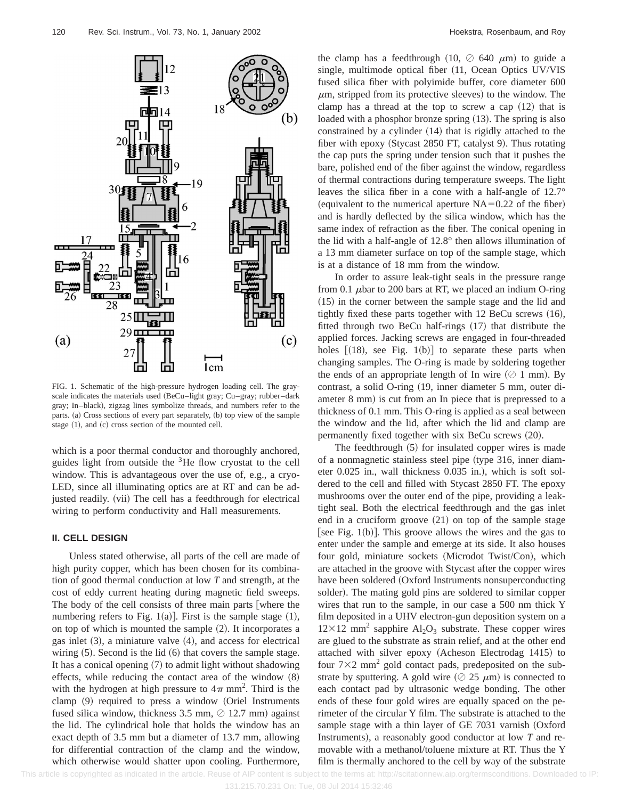

FIG. 1. Schematic of the high-pressure hydrogen loading cell. The grayscale indicates the materials used (BeCu–light gray; Cu–gray; rubber–dark gray; In-black), zigzag lines symbolize threads, and numbers refer to the parts. (a) Cross sections of every part separately, (b) top view of the sample stage  $(1)$ , and  $(c)$  cross section of the mounted cell.

which is a poor thermal conductor and thoroughly anchored, guides light from outside the  ${}^{3}$ He flow cryostat to the cell window. This is advantageous over the use of, e.g., a cryo-LED, since all illuminating optics are at RT and can be adjusted readily. (vii) The cell has a feedthrough for electrical wiring to perform conductivity and Hall measurements.

#### **II. CELL DESIGN**

Unless stated otherwise, all parts of the cell are made of high purity copper, which has been chosen for its combination of good thermal conduction at low *T* and strength, at the cost of eddy current heating during magnetic field sweeps. The body of the cell consists of three main parts where the numbering refers to Fig. 1(a)]. First is the sample stage  $(1)$ , on top of which is mounted the sample  $(2)$ . It incorporates a gas inlet  $(3)$ , a miniature valve  $(4)$ , and access for electrical wiring  $(5)$ . Second is the lid  $(6)$  that covers the sample stage. It has a conical opening  $(7)$  to admit light without shadowing effects, while reducing the contact area of the window  $(8)$ with the hydrogen at high pressure to  $4\pi$  mm<sup>2</sup>. Third is the clamp  $(9)$  required to press a window  $(Oriel$  Instruments fused silica window, thickness 3.5 mm,  $\oslash$  12.7 mm) against the lid. The cylindrical hole that holds the window has an exact depth of 3.5 mm but a diameter of 13.7 mm, allowing for differential contraction of the clamp and the window, which otherwise would shatter upon cooling. Furthermore, the clamp has a feedthrough (10,  $\oslash$  640  $\mu$ m) to guide a single, multimode optical fiber  $(11,$  Ocean Optics UV/VIS fused silica fiber with polyimide buffer, core diameter 600  $\mu$ m, stripped from its protective sleeves) to the window. The clamp has a thread at the top to screw a cap  $(12)$  that is loaded with a phosphor bronze spring  $(13)$ . The spring is also constrained by a cylinder  $(14)$  that is rigidly attached to the fiber with epoxy (Stycast 2850 FT, catalyst 9). Thus rotating the cap puts the spring under tension such that it pushes the bare, polished end of the fiber against the window, regardless of thermal contractions during temperature sweeps. The light leaves the silica fiber in a cone with a half-angle of 12.7° (equivalent to the numerical aperture  $NA=0.22$  of the fiber) and is hardly deflected by the silica window, which has the same index of refraction as the fiber. The conical opening in the lid with a half-angle of 12.8° then allows illumination of a 13 mm diameter surface on top of the sample stage, which is at a distance of 18 mm from the window.

In order to assure leak-tight seals in the pressure range from 0.1  $\mu$ bar to 200 bars at RT, we placed an indium O-ring  $(15)$  in the corner between the sample stage and the lid and tightly fixed these parts together with  $12$  BeCu screws  $(16)$ , fitted through two BeCu half-rings  $(17)$  that distribute the applied forces. Jacking screws are engaged in four-threaded holes  $[(18)$ , see Fig. 1(b)] to separate these parts when changing samples. The O-ring is made by soldering together the ends of an appropriate length of In wire  $(\Diamond 1$  mm). By contrast, a solid O-ring (19, inner diameter 5 mm, outer diameter 8 mm) is cut from an In piece that is prepressed to a thickness of 0.1 mm. This O-ring is applied as a seal between the window and the lid, after which the lid and clamp are permanently fixed together with six BeCu screws  $(20)$ .

The feedthrough  $(5)$  for insulated copper wires is made of a nonmagnetic stainless steel pipe (type 316, inner diameter 0.025 in., wall thickness 0.035 in.), which is soft soldered to the cell and filled with Stycast 2850 FT. The epoxy mushrooms over the outer end of the pipe, providing a leaktight seal. Both the electrical feedthrough and the gas inlet end in a cruciform groove  $(21)$  on top of the sample stage [see Fig. 1(b)]. This groove allows the wires and the gas to enter under the sample and emerge at its side. It also houses four gold, miniature sockets (Microdot Twist/Con), which are attached in the groove with Stycast after the copper wires have been soldered (Oxford Instruments nonsuperconducting solder). The mating gold pins are soldered to similar copper wires that run to the sample, in our case a 500 nm thick Y film deposited in a UHV electron-gun deposition system on a  $12\times12$  mm<sup>2</sup> sapphire Al<sub>2</sub>O<sub>3</sub> substrate. These copper wires are glued to the substrate as strain relief, and at the other end attached with silver epoxy (Acheson Electrodag 1415) to four  $7\times2$  mm<sup>2</sup> gold contact pads, predeposited on the substrate by sputtering. A gold wire  $(225 \mu m)$  is connected to each contact pad by ultrasonic wedge bonding. The other ends of these four gold wires are equally spaced on the perimeter of the circular Y film. The substrate is attached to the sample stage with a thin layer of GE 7031 varnish  $Ox$ ford Instruments), a reasonably good conductor at low *T* and removable with a methanol/toluene mixture at RT. Thus the Y film is thermally anchored to the cell by way of the substrate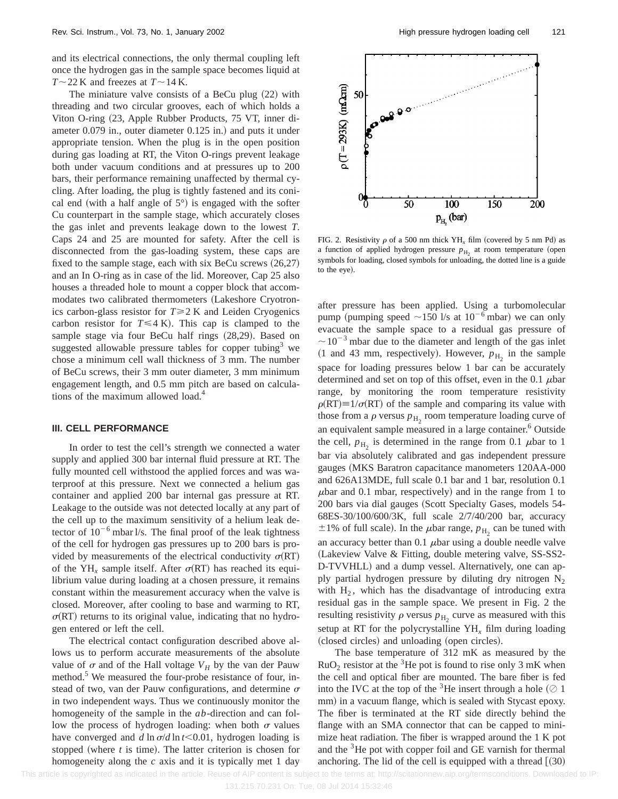and its electrical connections, the only thermal coupling left once the hydrogen gas in the sample space becomes liquid at  $T \sim$  22 K and freezes at  $T \sim$  14 K.

The miniature valve consists of a BeCu plug  $(22)$  with threading and two circular grooves, each of which holds a Viton O-ring (23, Apple Rubber Products, 75 VT, inner diameter  $0.079$  in., outer diameter  $0.125$  in.) and puts it under appropriate tension. When the plug is in the open position during gas loading at RT, the Viton O-rings prevent leakage both under vacuum conditions and at pressures up to 200 bars, their performance remaining unaffected by thermal cycling. After loading, the plug is tightly fastened and its conical end (with a half angle of  $5^{\circ}$ ) is engaged with the softer Cu counterpart in the sample stage, which accurately closes the gas inlet and prevents leakage down to the lowest *T*. Caps 24 and 25 are mounted for safety. After the cell is disconnected from the gas-loading system, these caps are fixed to the sample stage, each with six BeCu screws  $(26,27)$ and an In O-ring as in case of the lid. Moreover, Cap 25 also houses a threaded hole to mount a copper block that accommodates two calibrated thermometers (Lakeshore Cryotronics carbon-glass resistor for  $T \geq 2$  K and Leiden Cryogenics carbon resistor for  $T \leq 4$  K). This cap is clamped to the sample stage via four BeCu half rings  $(28,29)$ . Based on suggested allowable pressure tables for copper tubing<sup>3</sup> we chose a minimum cell wall thickness of 3 mm. The number of BeCu screws, their 3 mm outer diameter, 3 mm minimum engagement length, and 0.5 mm pitch are based on calculations of the maximum allowed load.<sup>4</sup>

#### **III. CELL PERFORMANCE**

In order to test the cell's strength we connected a water supply and applied 300 bar internal fluid pressure at RT. The fully mounted cell withstood the applied forces and was waterproof at this pressure. Next we connected a helium gas container and applied 200 bar internal gas pressure at RT. Leakage to the outside was not detected locally at any part of the cell up to the maximum sensitivity of a helium leak detector of  $10^{-6}$  mbar l/s. The final proof of the leak tightness of the cell for hydrogen gas pressures up to 200 bars is provided by measurements of the electrical conductivity  $\sigma(RT)$ of the YH<sub>x</sub> sample itself. After  $\sigma(RT)$  has reached its equilibrium value during loading at a chosen pressure, it remains constant within the measurement accuracy when the valve is closed. Moreover, after cooling to base and warming to RT,  $\sigma(RT)$  returns to its original value, indicating that no hydrogen entered or left the cell.

The electrical contact configuration described above allows us to perform accurate measurements of the absolute value of  $\sigma$  and of the Hall voltage  $V_H$  by the van der Pauw method. $5$  We measured the four-probe resistance of four, instead of two, van der Pauw configurations, and determine  $\sigma$ in two independent ways. Thus we continuously monitor the homogeneity of the sample in the *ab*-direction and can follow the process of hydrogen loading: when both  $\sigma$  values have converged and  $d \ln \frac{\sigma}{d \ln t}$ , hydrogen loading is stopped (where  $t$  is time). The latter criterion is chosen for homogeneity along the *c* axis and it is typically met 1 day



FIG. 2. Resistivity  $\rho$  of a 500 nm thick YH<sub>x</sub> film (covered by 5 nm Pd) as a function of applied hydrogen pressure  $p_{\rm H_2}$  at room temperature (open symbols for loading, closed symbols for unloading, the dotted line is a guide to the eye).

after pressure has been applied. Using a turbomolecular pump (pumping speed  $\sim$ 150 l/s at 10<sup>-6</sup> mbar) we can only evacuate the sample space to a residual gas pressure of  $\sim$  10<sup>-3</sup> mbar due to the diameter and length of the gas inlet  $(1 \text{ and } 43 \text{ mm}, \text{ respectively})$ . However,  $p_{\text{H}_2}$  in the sample space for loading pressures below 1 bar can be accurately determined and set on top of this offset, even in the 0.1  $\mu$ bar range, by monitoring the room temperature resistivity  $\rho(RT) \equiv 1/\sigma(RT)$  of the sample and comparing its value with those from a  $\rho$  versus  $p_{\text{H}_2}$  room temperature loading curve of an equivalent sample measured in a large container.<sup>6</sup> Outside the cell,  $p_{\text{H}_2}$  is determined in the range from 0.1  $\mu$ bar to 1 bar via absolutely calibrated and gas independent pressure gauges (MKS Baratron capacitance manometers 120AA-000 and 626A13MDE, full scale 0.1 bar and 1 bar, resolution 0.1  $\mu$ bar and 0.1 mbar, respectively) and in the range from 1 to 200 bars via dial gauges (Scott Specialty Gases, models 54-68ES-30/100/600/3K, full scale 2/7/40/200 bar, accuracy  $\pm 1\%$  of full scale). In the  $\mu$ bar range,  $p_{\rm H_2}$  can be tuned with an accuracy better than 0.1  $\mu$ bar using a double needle valve (Lakeview Valve & Fitting, double metering valve, SS-SS2-D-TVVHLL) and a dump vessel. Alternatively, one can apply partial hydrogen pressure by diluting dry nitrogen  $N_2$ with  $H_2$ , which has the disadvantage of introducing extra residual gas in the sample space. We present in Fig. 2 the resulting resistivity  $\rho$  versus  $p_{\rm H_2}$  curve as measured with this setup at RT for the polycrystalline YH*<sup>x</sup>* film during loading (closed circles) and unloading (open circles).

The base temperature of 312 mK as measured by the  $RuO<sub>2</sub>$  resistor at the <sup>3</sup>He pot is found to rise only 3 mK when the cell and optical fiber are mounted. The bare fiber is fed into the IVC at the top of the <sup>3</sup>He insert through a hole  $(\oslash 1)$ mm) in a vacuum flange, which is sealed with Stycast epoxy. The fiber is terminated at the RT side directly behind the flange with an SMA connector that can be capped to minimize heat radiation. The fiber is wrapped around the 1 K pot and the <sup>3</sup>He pot with copper foil and GE varnish for thermal anchoring. The lid of the cell is equipped with a thread  $(30)$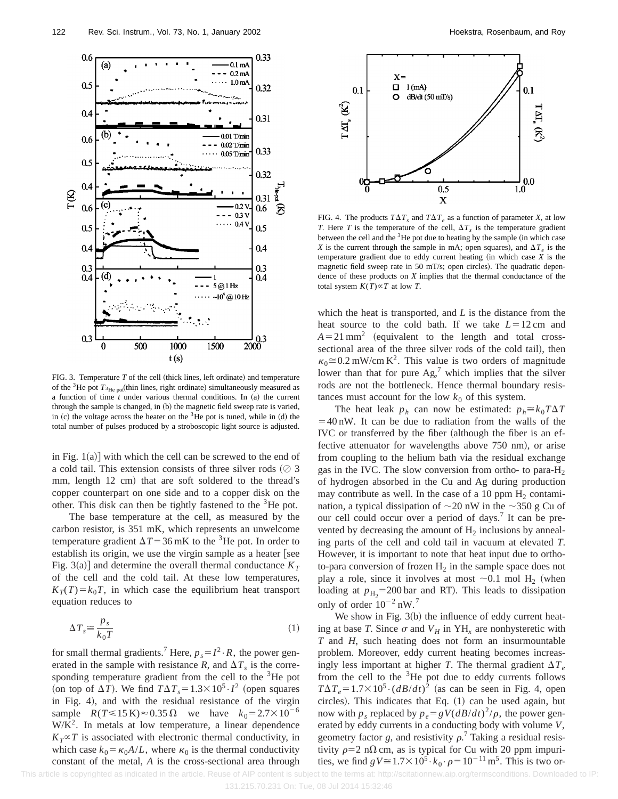

FIG. 3. Temperature  $T$  of the cell (thick lines, left ordinate) and temperature of the <sup>3</sup>He pot  $T_{\rm 3He~pot}$  (thin lines, right ordinate) simultaneously measured as a function of time  $t$  under various thermal conditions. In  $(a)$  the current through the sample is changed, in (b) the magnetic field sweep rate is varied, in  $(c)$  the voltage across the heater on the  $3$ He pot is tuned, while in  $(d)$  the total number of pulses produced by a stroboscopic light source is adjusted.

in Fig.  $1(a)$  with which the cell can be screwed to the end of a cold tail. This extension consists of three silver rods  $(2, 3)$ mm, length 12 cm) that are soft soldered to the thread's copper counterpart on one side and to a copper disk on the other. This disk can then be tightly fastened to the <sup>3</sup>He pot.

The base temperature at the cell, as measured by the carbon resistor, is 351 mK, which represents an unwelcome temperature gradient  $\Delta T$ =36 mK to the <sup>3</sup>He pot. In order to establish its origin, we use the virgin sample as a heater [see Fig. 3(a)] and determine the overall thermal conductance  $K<sub>T</sub>$ of the cell and the cold tail. At these low temperatures,  $K_T(T) = k_0 T$ , in which case the equilibrium heat transport equation reduces to

$$
\Delta T_s \cong \frac{p_s}{k_0 T} \tag{1}
$$

for small thermal gradients.<sup>7</sup> Here,  $p_s = I^2 \cdot R$ , the power generated in the sample with resistance *R*, and  $\Delta T_s$  is the corresponding temperature gradient from the cell to the <sup>3</sup>He pot (on top of  $\Delta T$ ). We find  $T\Delta T_s = 1.3 \times 10^5 \cdot I^2$  (open squares in Fig. 4), and with the residual resistance of the virgin sample  $R(T \le 15 \text{ K}) \approx 0.35 \Omega$  we have  $k_0 = 2.7 \times 10^{-6}$  $W/K<sup>2</sup>$ . In metals at low temperature, a linear dependence  $K_T \propto T$  is associated with electronic thermal conductivity, in which case  $k_0 = \kappa_0 A/L$ , where  $\kappa_0$  is the thermal conductivity constant of the metal, *A* is the cross-sectional area through



FIG. 4. The products  $T\Delta T_s$  and  $T\Delta T_e$  as a function of parameter *X*, at low *T*. Here *T* is the temperature of the cell,  $\Delta T_s$  is the temperature gradient between the cell and the  $3$ He pot due to heating by the sample (in which case *X* is the current through the sample in mA; open squares), and  $\Delta T_e$  is the temperature gradient due to eddy current heating  $(in$  which case  $X$  is the magnetic field sweep rate in 50 mT/s; open circles). The quadratic dependence of these products on *X* implies that the thermal conductance of the total system  $K(T) \propto T$  at low *T*.

which the heat is transported, and *L* is the distance from the heat source to the cold bath. If we take  $L=12$  cm and  $A = 21$  mm<sup>2</sup> (equivalent to the length and total crosssectional area of the three silver rods of the cold tail), then  $\kappa_0 \approx 0.2$  mW/cm K<sup>2</sup>. This value is two orders of magnitude lower than that for pure  $\text{Ag}$ , which implies that the silver rods are not the bottleneck. Hence thermal boundary resistances must account for the low  $k_0$  of this system.

The heat leak  $p_h$  can now be estimated:  $p_h \cong k_0 T \Delta T$  $=40$  nW. It can be due to radiation from the walls of the IVC or transferred by the fiber (although the fiber is an effective attenuator for wavelengths above 750 nm), or arise from coupling to the helium bath via the residual exchange gas in the IVC. The slow conversion from ortho- to para- $H_2$ of hydrogen absorbed in the Cu and Ag during production may contribute as well. In the case of a 10 ppm  $H_2$  contamination, a typical dissipation of  $\sim$ 20 nW in the  $\sim$ 350 g Cu of our cell could occur over a period of days.<sup>7</sup> It can be prevented by decreasing the amount of  $H_2$  inclusions by annealing parts of the cell and cold tail in vacuum at elevated *T*. However, it is important to note that heat input due to orthoto-para conversion of frozen  $H_2$  in the sample space does not play a role, since it involves at most  $\sim 0.1$  mol H<sub>2</sub> (when loading at  $p_{\text{H}_2}$ =200 bar and RT). This leads to dissipation only of order  $10^{-2}$  nW.<sup>7</sup>

We show in Fig.  $3(b)$  the influence of eddy current heating at base *T*. Since  $\sigma$  and  $V_H$  in YH<sub>x</sub> are nonhysteretic with *T* and *H*, such heating does not form an insurmountable problem. Moreover, eddy current heating becomes increasingly less important at higher *T*. The thermal gradient  $\Delta T_e$ from the cell to the  $3$ He pot due to eddy currents follows  $T\Delta T_e = 1.7 \times 10^5 \cdot (dB/dt)^2$  (as can be seen in Fig. 4, open circles). This indicates that Eq.  $(1)$  can be used again, but now with  $p_s$  replaced by  $p_e = gV(dB/dt)^2/\rho$ , the power generated by eddy currents in a conducting body with volume *V*, geometry factor g, and resistivity  $\rho$ .<sup>7</sup> Taking a residual resistivity  $\rho=2$  n $\Omega$  cm, as is typical for Cu with 20 ppm impurities, we find  $gV \approx 1.7 \times 10^5 \cdot k_0 \cdot \rho = 10^{-11} \text{ m}^5$ . This is two or